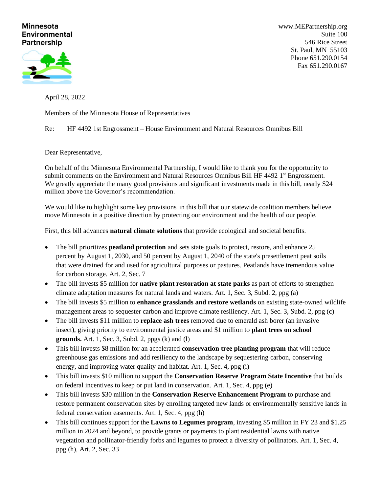## **Minnesota Environmental Partnership**



[www.MEPartnership.org](http://www.mepartnership.org/) Suite 100 546 Rice Street St. Paul, MN 55103 Phone 651.290.0154 Fax 651.290.0167

April 28, 2022

Members of the Minnesota House of Representatives

Re: HF 4492 1st Engrossment – House Environment and Natural Resources Omnibus Bill

Dear Representative,

On behalf of the Minnesota Environmental Partnership, I would like to thank you for the opportunity to submit comments on the Environment and Natural Resources Omnibus Bill HF 4492 1<sup>st</sup> Engrossment. We greatly appreciate the many good provisions and significant investments made in this bill, nearly \$24 million above the Governor's recommendation.

We would like to highlight some key provisions in this bill that our statewide coalition members believe move Minnesota in a positive direction by protecting our environment and the health of our people.

First, this bill advances **natural climate solutions** that provide ecological and societal benefits.

- The bill prioritizes **peatland protection** and sets state goals to protect, restore, and enhance 25 percent by August 1, 2030, and 50 percent by August 1, 2040 of the state's presettlement peat soils that were drained for and used for agricultural purposes or pastures. Peatlands have tremendous value for carbon storage. Art. 2, Sec. 7
- The bill invests \$5 million for **native plant restoration at state parks** as part of efforts to strengthen climate adaptation measures for natural lands and waters. Art. 1, Sec. 3, Subd. 2, ppg (a)
- The bill invests \$5 million to **enhance grasslands and restore wetlands** on existing state-owned wildlife management areas to sequester carbon and improve climate resiliency. Art. 1, Sec. 3, Subd. 2, ppg (c)
- The bill invests \$11 million to **replace ash trees** removed due to emerald ash borer (an invasive insect), giving priority to environmental justice areas and \$1 million to **plant trees on school grounds.** Art. 1, Sec. 3, Subd. 2, ppgs (k) and (l)
- This bill invests \$8 million for an accelerated **conservation tree planting program** that will reduce greenhouse gas emissions and add resiliency to the landscape by sequestering carbon, conserving energy, and improving water quality and habitat. Art. 1, Sec. 4, ppg (i)
- This bill invests \$10 million to support the **Conservation Reserve Program State Incentive** that builds on federal incentives to keep or put land in conservation. Art. 1, Sec. 4, ppg (e)
- This bill invests \$30 million in the **Conservation Reserve Enhancement Program** to purchase and restore permanent conservation sites by enrolling targeted new lands or environmentally sensitive lands in federal conservation easements. Art. 1, Sec. 4, ppg (h)
- This bill continues support for the **Lawns to Legumes program**, investing \$5 million in FY 23 and \$1.25 million in 2024 and beyond, to provide grants or payments to plant residential lawns with native vegetation and pollinator-friendly forbs and legumes to protect a diversity of pollinators. Art. 1, Sec. 4, ppg (h), Art. 2, Sec. 33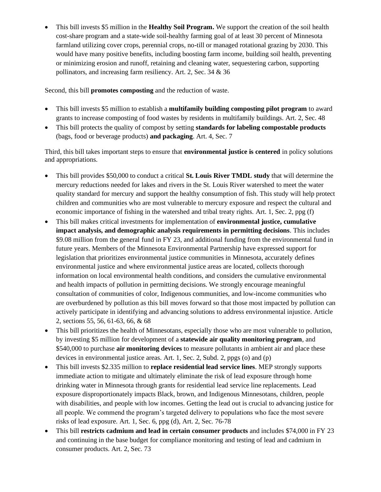• This bill invests \$5 million in the **Healthy Soil Program.** We support the creation of the soil health cost-share program and a state-wide soil-healthy farming goal of at least 30 percent of Minnesota farmland utilizing cover crops, perennial crops, no-till or managed rotational grazing by 2030. This would have many positive benefits, including boosting farm income, building soil health, preventing or minimizing erosion and runoff, retaining and cleaning water, sequestering carbon, supporting pollinators, and increasing farm resiliency. Art. 2, Sec. 34 & 36

Second, this bill **promotes composting** and the reduction of waste.

- This bill invests \$5 million to establish a **multifamily building composting pilot program** to award grants to increase composting of food wastes by residents in multifamily buildings. Art. 2, Sec. 48
- This bill protects the quality of compost by setting **standards for labeling compostable products** (bags, food or beverage products) **and packaging**. Art. 4, Sec. 7

Third, this bill takes important steps to ensure that **environmental justice is centered** in policy solutions and appropriations.

- This bill provides \$50,000 to conduct a critical **St. Louis River TMDL study** that will determine the mercury reductions needed for lakes and rivers in the St. Louis River watershed to meet the water quality standard for mercury and support the healthy consumption of fish. This study will help protect children and communities who are most vulnerable to mercury exposure and respect the cultural and economic importance of fishing in the watershed and tribal treaty rights. Art. 1, Sec. 2, ppg (f)
- This bill makes critical investments for implementation of **environmental justice, cumulative impact analysis, and demographic analysis requirements in permitting decisions**. This includes \$9.08 million from the general fund in FY 23, and additional funding from the environmental fund in future years. Members of the Minnesota Environmental Partnership have expressed support for legislation that prioritizes environmental justice communities in Minnesota, accurately defines environmental justice and where environmental justice areas are located, collects thorough information on local environmental health conditions, and considers the cumulative environmental and health impacts of pollution in permitting decisions. We strongly encourage meaningful consultation of communities of color, Indigenous communities, and low-income communities who are overburdened by pollution as this bill moves forward so that those most impacted by pollution can actively participate in identifying and advancing solutions to address environmental injustice. Article 2, sections 55, 56, 61-63, 66, & 68
- This bill prioritizes the health of Minnesotans, especially those who are most vulnerable to pollution, by investing \$5 million for development of a **statewide air quality monitoring program**, and \$540,000 to purchase **air monitoring devices** to measure pollutants in ambient air and place these devices in environmental justice areas. Art. 1, Sec. 2, Subd. 2, ppgs (o) and (p)
- This bill invests \$2.335 million to **replace residential lead service lines**. MEP strongly supports immediate action to mitigate and ultimately eliminate the risk of lead exposure through home drinking water in Minnesota through grants for residential lead service line replacements. Lead exposure disproportionately impacts Black, brown, and Indigenous Minnesotans, children, people with disabilities, and people with low incomes. Getting the lead out is crucial to advancing justice for all people. We commend the program's targeted delivery to populations who face the most severe risks of lead exposure. Art. 1, Sec. 6, ppg (d), Art. 2, Sec. 76-78
- This bill **restricts cadmium and lead in certain consumer products** and includes \$74,000 in FY 23 and continuing in the base budget for compliance monitoring and testing of lead and cadmium in consumer products. Art. 2, Sec. 73